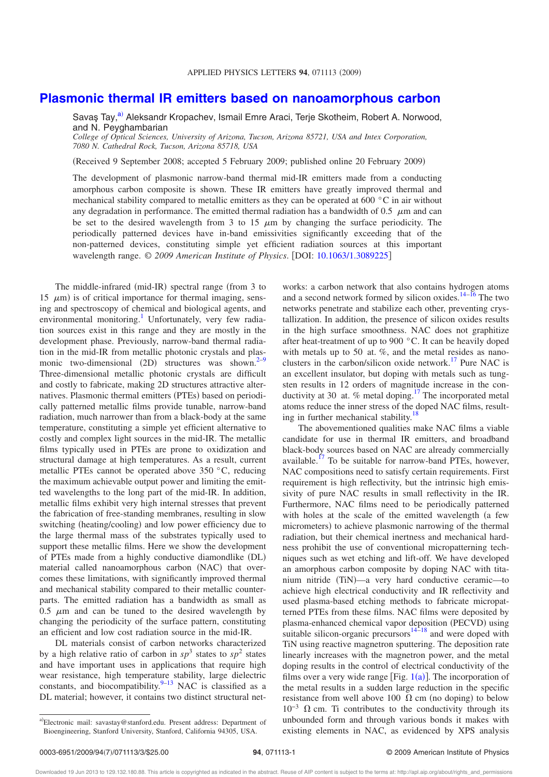## **Plasmonic thermal IR emitters based on nanoamorphous carbon**

Savaş Tay,<sup>a)</sup> Aleksandr Kropachev, Ismail Emre Araci, Terje Skotheim, Robert A. Norwood, and N. Peyghambarian

*College of Optical Sciences, University of Arizona, Tucson, Arizona 85721, USA and Intex Corporation, 7080 N. Cathedral Rock, Tucson, Arizona 85718, USA*

(Received 9 September 2008; accepted 5 February 2009; published online 20 February 2009)

The development of plasmonic narrow-band thermal mid-IR emitters made from a conducting amorphous carbon composite is shown. These IR emitters have greatly improved thermal and mechanical stability compared to metallic emitters as they can be operated at 600 °C in air without any degradation in performance. The emitted thermal radiation has a bandwidth of 0.5  $\mu$ m and can be set to the desired wavelength from 3 to 15  $\mu$ m by changing the surface periodicity. The periodically patterned devices have in-band emissivities significantly exceeding that of the non-patterned devices, constituting simple yet efficient radiation sources at this important wavelength range. © 2009 American Institute of Physics. [DOI: 10.1063/1.3089225]

The middle-infrared (mid-IR) spectral range (from 3 to 15  $\mu$ m) is of critical importance for thermal imaging, sensing and spectroscopy of chemical and biological agents, and environmental monitoring.<sup>1</sup> Unfortunately, very few radiation sources exist in this range and they are mostly in the development phase. Previously, narrow-band thermal radiation in the mid-IR from metallic photonic crystals and plasmonic two-dimensional  $(2D)$  structures was shown.<sup>2–9</sup> Three-dimensional metallic photonic crystals are difficult and costly to fabricate, making 2D structures attractive alternatives. Plasmonic thermal emitters (PTEs) based on periodically patterned metallic films provide tunable, narrow-band radiation, much narrower than from a black-body at the same temperature, constituting a simple yet efficient alternative to costly and complex light sources in the mid-IR. The metallic films typically used in PTEs are prone to oxidization and structural damage at high temperatures. As a result, current metallic PTEs cannot be operated above 350 °C, reducing the maximum achievable output power and limiting the emitted wavelengths to the long part of the mid-IR. In addition, metallic films exhibit very high internal stresses that prevent the fabrication of free-standing membranes, resulting in slow switching (heating/cooling) and low power efficiency due to the large thermal mass of the substrates typically used to support these metallic films. Here we show the development of PTEs made from a highly conductive diamondlike (DL) material called nanoamorphous carbon (NAC) that overcomes these limitations, with significantly improved thermal and mechanical stability compared to their metallic counterparts. The emitted radiation has a bandwidth as small as  $0.5 \mu m$  and can be tuned to the desired wavelength by changing the periodicity of the surface pattern, constituting an efficient and low cost radiation source in the mid-IR.

DL materials consist of carbon networks characterized by a high relative ratio of carbon in  $sp^3$  states to  $sp^2$  states and have important uses in applications that require high wear resistance, high temperature stability, large dielectric constants, and biocompatibility. $9-13$  NAC is classified as a DL material; however, it contains two distinct structural networks: a carbon network that also contains hydrogen atoms and a second network formed by silicon oxides.<sup>14–16</sup> The two networks penetrate and stabilize each other, preventing crystallization. In addition, the presence of silicon oxides results in the high surface smoothness. NAC does not graphitize after heat-treatment of up to 900 °C. It can be heavily doped with metals up to 50 at. *%*, and the metal resides as nanoclusters in the carbon/silicon oxide network.17 Pure NAC is an excellent insulator, but doping with metals such as tungsten results in 12 orders of magnitude increase in the conductivity at 30 at. % metal doping.<sup>17</sup> The incorporated metal atoms reduce the inner stress of the doped NAC films, resulting in further mechanical stability.<sup>18</sup>

The abovementioned qualities make NAC films a viable candidate for use in thermal IR emitters, and broadband black-body sources based on NAC are already commercially available.<sup> $17$ </sup> To be suitable for narrow-band PTEs, however, NAC compositions need to satisfy certain requirements. First requirement is high reflectivity, but the intrinsic high emissivity of pure NAC results in small reflectivity in the IR. Furthermore, NAC films need to be periodically patterned with holes at the scale of the emitted wavelength (a few micrometers) to achieve plasmonic narrowing of the thermal radiation, but their chemical inertness and mechanical hardness prohibit the use of conventional micropatterning techniques such as wet etching and lift-off. We have developed an amorphous carbon composite by doping NAC with titanium nitride (TiN)—a very hard conductive ceramic—to achieve high electrical conductivity and IR reflectivity and used plasma-based etching methods to fabricate micropatterned PTEs from these films. NAC films were deposited by plasma-enhanced chemical vapor deposition (PECVD) using suitable silicon-organic precursors $14\overline{)}$  and were doped with TiN using reactive magnetron sputtering. The deposition rate linearly increases with the magnetron power, and the metal doping results in the control of electrical conductivity of the films over a very wide range [Fig.  $1(a)$ ]. The incorporation of the metal results in a sudden large reduction in the specific resistance from well above 100  $\Omega$  cm (no doping) to below  $10^{-3}$  Ω cm. Ti contributes to the conductivity through its unbounded form and through various bonds it makes with existing elements in NAC, as evidenced by XPS analysis

a)Electronic mail: savastay@stanford.edu. Present address: Department of Bioengineering, Stanford University, Stanford, California 94305, USA.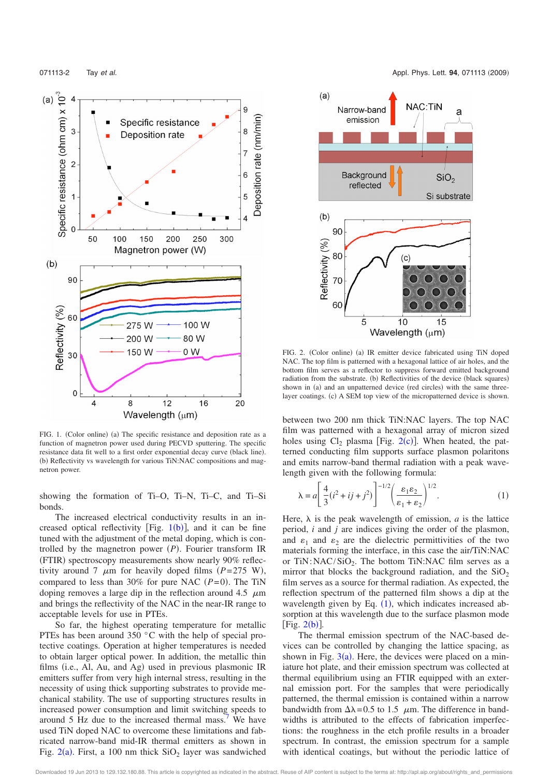

FIG. 1. (Color online) (a) The specific resistance and deposition rate as a function of magnetron power used during PECVD sputtering. The specific resistance data fit well to a first order exponential decay curve (black line). (b) Reflectivity vs wavelength for various TiN:NAC compositions and magnetron power.

showing the formation of Ti–O, Ti–N, Ti–C, and Ti–Si bonds.

The increased electrical conductivity results in an increased optical reflectivity  $[Fig. 1(b)]$ , and it can be fine tuned with the adjustment of the metal doping, which is controlled by the magnetron power  $(P)$ . Fourier transform IR (FTIR) spectroscopy measurements show nearly 90% reflectivity around 7  $\mu$ m for heavily doped films  $(P=275 \text{ W})$ , compared to less than 30% for pure NAC  $(P= 0)$ . The TiN doping removes a large dip in the reflection around  $4.5 \mu m$ and brings the reflectivity of the NAC in the near-IR range to acceptable levels for use in PTEs.

So far, the highest operating temperature for metallic PTEs has been around 350 °C with the help of special protective coatings. Operation at higher temperatures is needed to obtain larger optical power. In addition, the metallic thin films (i.e., Al, Au, and Ag) used in previous plasmonic IR emitters suffer from very high internal stress, resulting in the necessity of using thick supporting substrates to provide mechanical stability. The use of supporting structures results in increased power consumption and limit switching speeds to around 5 Hz due to the increased thermal mass.<sup>7</sup> We have used TiN doped NAC to overcome these limitations and fabricated narrow-band mid-IR thermal emitters as shown in Fig.  $2(a)$ . First, a 100 nm thick  $SiO<sub>2</sub>$  layer was sandwiched



FIG. 2. (Color online) (a) IR emitter device fabricated using TiN doped NAC. The top film is patterned with a hexagonal lattice of air holes, and the bottom film serves as a reflector to suppress forward emitted background radiation from the substrate. (b) Reflectivities of the device (black squares) shown in (a) and an unpatterned device (red circles) with the same threelayer coatings. (c) A SEM top view of the micropatterned device is shown.

between two 200 nm thick TiN:NAC layers. The top NAC film was patterned with a hexagonal array of micron sized holes using  $Cl_2$  plasma [Fig. 2(c)]. When heated, the patterned conducting film supports surface plasmon polaritons and emits narrow-band thermal radiation with a peak wavelength given with the following formula:

$$
\lambda = a \left[ \frac{4}{3} (i^2 + ij + j^2) \right]^{-1/2} \left( \frac{\varepsilon_1 \varepsilon_2}{\varepsilon_1 + \varepsilon_2} \right)^{1/2} . \tag{1}
$$

Here,  $\lambda$  is the peak wavelength of emission, *a* is the lattice period, *i* and *j* are indices giving the order of the plasmon, and  $\varepsilon_1$  and  $\varepsilon_2$  are the dielectric permittivities of the two materials forming the interface, in this case the air/TiN:NAC or  $TiN:NAC/SiO<sub>2</sub>$ . The bottom  $TiN:NAC$  film serves as a mirror that blocks the background radiation, and the  $SiO<sub>2</sub>$ film serves as a source for thermal radiation. As expected, the reflection spectrum of the patterned film shows a dip at the wavelength given by Eq.  $(1)$ , which indicates increased absorption at this wavelength due to the surface plasmon mode  $[Fig. 2(b)].$ 

The thermal emission spectrum of the NAC-based devices can be controlled by changing the lattice spacing, as shown in Fig.  $3(a)$ . Here, the devices were placed on a miniature hot plate, and their emission spectrum was collected at thermal equilibrium using an FTIR equipped with an external emission port. For the samples that were periodically patterned, the thermal emission is contained within a narrow bandwidth from  $\Delta\lambda = 0.5$  to 1.5  $\mu$ m. The difference in bandwidths is attributed to the effects of fabrication imperfections: the roughness in the etch profile results in a broader spectrum. In contrast, the emission spectrum for a sample with identical coatings, but without the periodic lattice of